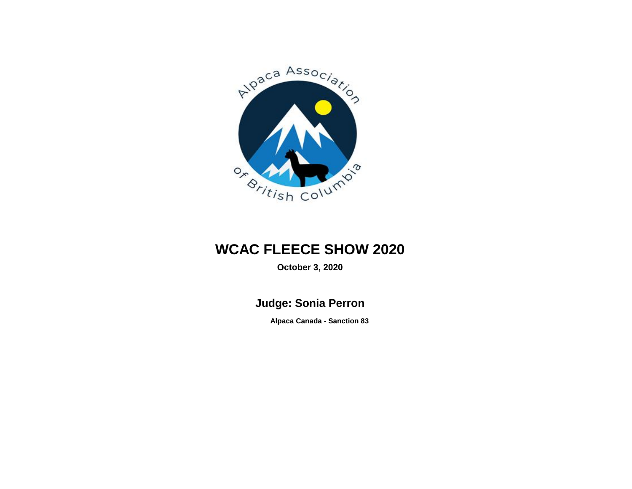

## **WCAC FLEECE SHOW 2020**

**October 3, 2020**

**Judge: Sonia Perron**

**Alpaca Canada - Sanction 83**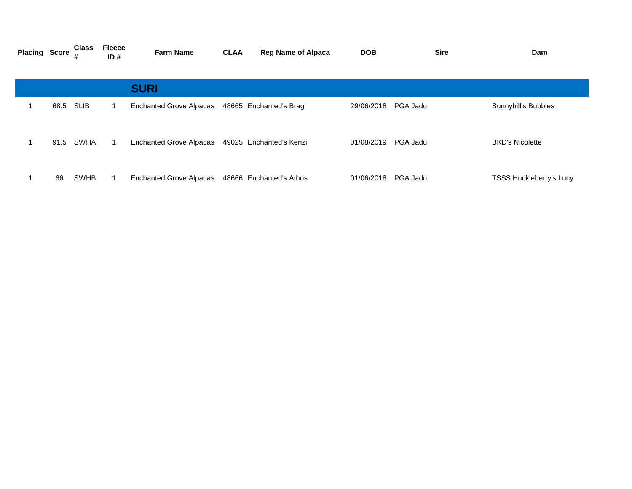| <b>Placing Score</b> |           | <b>Class</b> | <b>Fleece</b><br>ID# | <b>Farm Name</b>               | <b>CLAA</b> | <b>Reg Name of Alpaca</b> | <b>DOB</b> | <b>Sire</b> | Dam                            |
|----------------------|-----------|--------------|----------------------|--------------------------------|-------------|---------------------------|------------|-------------|--------------------------------|
|                      |           |              |                      | <b>SURI</b>                    |             |                           |            |             |                                |
|                      | 68.5 SLIB |              |                      | <b>Enchanted Grove Alpacas</b> |             | 48665 Enchanted's Bragi   | 29/06/2018 | PGA Jadu    | Sunnyhill's Bubbles            |
|                      | 91.5      | SWHA         |                      | <b>Enchanted Grove Alpacas</b> |             | 49025 Enchanted's Kenzi   | 01/08/2019 | PGA Jadu    | <b>BKD's Nicolette</b>         |
|                      | 66        | <b>SWHB</b>  |                      | <b>Enchanted Grove Alpacas</b> |             | 48666 Enchanted's Athos   | 01/06/2018 | PGA Jadu    | <b>TSSS Huckleberry's Lucy</b> |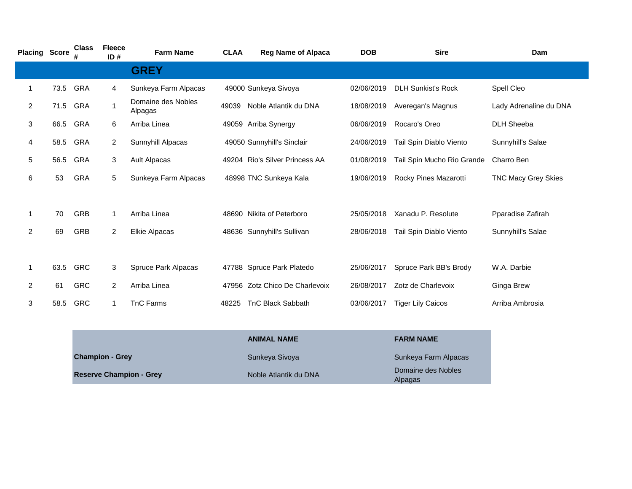| <b>Placing Score</b> |      | <b>Class</b> | <b>Fleece</b><br>ID#   | <b>Farm Name</b>              | <b>CLAA</b> | <b>Reg Name of Alpaca</b>      | <b>DOB</b> | <b>Sire</b>                | Dam                        |
|----------------------|------|--------------|------------------------|-------------------------------|-------------|--------------------------------|------------|----------------------------|----------------------------|
|                      |      |              |                        | <b>GREY</b>                   |             |                                |            |                            |                            |
| 1                    | 73.5 | <b>GRA</b>   | 4                      | Sunkeya Farm Alpacas          |             | 49000 Sunkeya Sivoya           | 02/06/2019 | <b>DLH Sunkist's Rock</b>  | Spell Cleo                 |
| $\overline{2}$       | 71.5 | GRA          | 1                      | Domaine des Nobles<br>Alpagas | 49039       | Noble Atlantik du DNA          | 18/08/2019 | Averegan's Magnus          | Lady Adrenaline du DNA     |
| 3                    | 66.5 | <b>GRA</b>   | 6                      | Arriba Linea                  |             | 49059 Arriba Synergy           | 06/06/2019 | Rocaro's Oreo              | <b>DLH Sheeba</b>          |
| 4                    | 58.5 | <b>GRA</b>   | $\overline{2}$         | Sunnyhill Alpacas             |             | 49050 Sunnyhill's Sinclair     | 24/06/2019 | Tail Spin Diablo Viento    | Sunnyhill's Salae          |
| 5                    | 56.5 | GRA          | 3                      | <b>Ault Alpacas</b>           |             | 49204 Rio's Silver Princess AA | 01/08/2019 | Tail Spin Mucho Rio Grande | Charro Ben                 |
| 6                    | 53   | <b>GRA</b>   | 5                      | Sunkeya Farm Alpacas          |             | 48998 TNC Sunkeya Kala         | 19/06/2019 | Rocky Pines Mazarotti      | <b>TNC Macy Grey Skies</b> |
|                      |      |              |                        |                               |             |                                |            |                            |                            |
| 1                    | 70   | <b>GRB</b>   | $\mathbf 1$            | Arriba Linea                  |             | 48690 Nikita of Peterboro      | 25/05/2018 | Xanadu P. Resolute         | Pparadise Zafirah          |
| 2                    | 69   | <b>GRB</b>   | $\overline{2}$         | <b>Elkie Alpacas</b>          |             | 48636 Sunnyhill's Sullivan     | 28/06/2018 | Tail Spin Diablo Viento    | Sunnyhill's Salae          |
|                      |      |              |                        |                               |             |                                |            |                            |                            |
| 1                    | 63.5 | GRC          | 3                      | Spruce Park Alpacas           |             | 47788 Spruce Park Platedo      | 25/06/2017 | Spruce Park BB's Brody     | W.A. Darbie                |
| $\overline{2}$       | 61   | <b>GRC</b>   | $\overline{2}$         | Arriba Linea                  |             | 47956 Zotz Chico De Charlevoix | 26/08/2017 | Zotz de Charlevoix         | Ginga Brew                 |
| 3                    | 58.5 | <b>GRC</b>   | $\mathbf{1}$           | <b>TnC Farms</b>              | 48225       | <b>TnC Black Sabbath</b>       | 03/06/2017 | <b>Tiger Lily Caicos</b>   | Arriba Ambrosia            |
|                      |      |              |                        |                               |             |                                |            |                            |                            |
|                      |      |              |                        |                               |             | <b>ANIMAL NAME</b>             |            | <b>FARM NAME</b>           |                            |
|                      |      |              | <b>Champion - Grey</b> |                               |             | Sunkeya Sivoya                 |            | Sunkeya Farm Alpacas       |                            |

|                                |                       | --------------                |
|--------------------------------|-----------------------|-------------------------------|
| <b>Champion - Grey</b>         | Sunkeya Sivoya        | Sunkeya Farm Alpacas          |
| <b>Reserve Champion - Grey</b> | Noble Atlantik du DNA | Domaine des Nobles<br>Alpagas |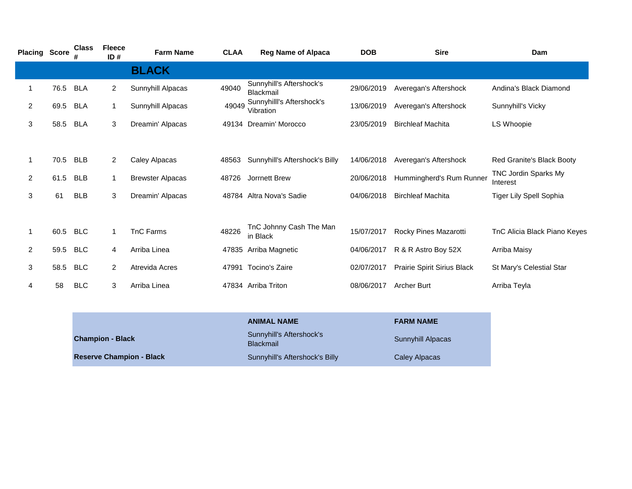| <b>Placing Score</b> |      | <b>Class</b> | <b>Fleece</b><br>ID# | <b>Farm Name</b>        | <b>CLAA</b> | <b>Reg Name of Alpaca</b>              | <b>DOB</b> | <b>Sire</b>                 | Dam                              |
|----------------------|------|--------------|----------------------|-------------------------|-------------|----------------------------------------|------------|-----------------------------|----------------------------------|
|                      |      |              |                      | <b>BLACK</b>            |             |                                        |            |                             |                                  |
| 1                    | 76.5 | <b>BLA</b>   | $\overline{2}$       | Sunnyhill Alpacas       | 49040       | Sunnyhill's Aftershock's<br>Blackmail  | 29/06/2019 | Averegan's Aftershock       | Andina's Black Diamond           |
| 2                    | 69.5 | <b>BLA</b>   | 1                    | Sunnyhill Alpacas       | 49049       | Sunnyhilli's Aftershock's<br>Vibration | 13/06/2019 | Averegan's Aftershock       | Sunnyhill's Vicky                |
| 3                    | 58.5 | <b>BLA</b>   | 3                    | Dreamin' Alpacas        |             | 49134 Dreamin' Morocco                 | 23/05/2019 | <b>Birchleaf Machita</b>    | LS Whoopie                       |
|                      |      |              |                      |                         |             |                                        |            |                             |                                  |
| $\mathbf{1}$         | 70.5 | <b>BLB</b>   | $\overline{2}$       | Caley Alpacas           | 48563       | Sunnyhill's Aftershock's Billy         | 14/06/2018 | Averegan's Aftershock       | Red Granite's Black Booty        |
| 2                    | 61.5 | <b>BLB</b>   | 1                    | <b>Brewster Alpacas</b> | 48726       | Jorrnett Brew                          | 20/06/2018 | Hummingherd's Rum Runner    | TNC Jordin Sparks My<br>Interest |
| 3                    | 61   | <b>BLB</b>   | 3                    | Dreamin' Alpacas        |             | 48784 Altra Nova's Sadie               | 04/06/2018 | <b>Birchleaf Machita</b>    | Tiger Lily Spell Sophia          |
|                      |      |              |                      |                         |             |                                        |            |                             |                                  |
| 1                    | 60.5 | <b>BLC</b>   | 1                    | <b>TnC Farms</b>        | 48226       | TnC Johnny Cash The Man<br>in Black    | 15/07/2017 | Rocky Pines Mazarotti       | TnC Alicia Black Piano Keyes     |
| $\overline{2}$       | 59.5 | <b>BLC</b>   | 4                    | Arriba Linea            |             | 47835 Arriba Magnetic                  | 04/06/2017 | R & R Astro Boy 52X         | Arriba Maisy                     |
| 3                    | 58.5 | <b>BLC</b>   | $\overline{2}$       | Atrevida Acres          |             | 47991 Tocino's Zaire                   | 02/07/2017 | Prairie Spirit Sirius Black | St Mary's Celestial Star         |
| 4                    | 58   | <b>BLC</b>   | 3                    | Arriba Linea            |             | 47834 Arriba Triton                    | 08/06/2017 | <b>Archer Burt</b>          | Arriba Teyla                     |
|                      |      |              |                      |                         |             |                                        |            |                             |                                  |

|                                 | <b>ANIMAL NAME</b>                           | <b>FARM NAME</b>         |
|---------------------------------|----------------------------------------------|--------------------------|
| <b>Champion - Black</b>         | Sunnyhill's Aftershock's<br><b>Blackmail</b> | <b>Sunnyhill Alpacas</b> |
| <b>Reserve Champion - Black</b> | Sunnyhill's Aftershock's Billy               | Caley Alpacas            |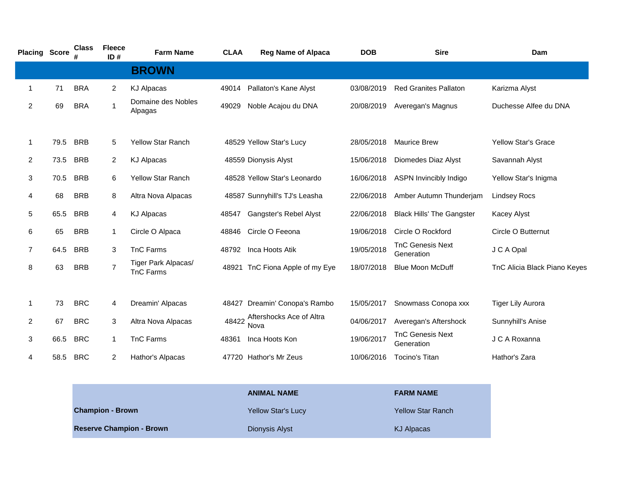| <b>Placing Score</b> |      | <b>Class</b> | <b>Fleece</b><br>ID# | <b>Farm Name</b>                        | <b>CLAA</b> | <b>Reg Name of Alpaca</b>        | <b>DOB</b> | <b>Sire</b>                           | Dam                          |
|----------------------|------|--------------|----------------------|-----------------------------------------|-------------|----------------------------------|------------|---------------------------------------|------------------------------|
|                      |      |              |                      | <b>BROWN</b>                            |             |                                  |            |                                       |                              |
| 1                    | 71   | <b>BRA</b>   | $\overline{2}$       | <b>KJ Alpacas</b>                       | 49014       | Pallaton's Kane Alyst            | 03/08/2019 | <b>Red Granites Pallaton</b>          | Karizma Alyst                |
| 2                    | 69   | <b>BRA</b>   | $\mathbf{1}$         | Domaine des Nobles<br>Alpagas           | 49029       | Noble Acajou du DNA              | 20/08/2019 | Averegan's Magnus                     | Duchesse Alfee du DNA        |
| 1                    | 79.5 | <b>BRB</b>   | 5                    | <b>Yellow Star Ranch</b>                |             | 48529 Yellow Star's Lucy         | 28/05/2018 | <b>Maurice Brew</b>                   | <b>Yellow Star's Grace</b>   |
| $\overline{2}$       | 73.5 | <b>BRB</b>   | $\overline{2}$       | <b>KJ Alpacas</b>                       |             | 48559 Dionysis Alyst             | 15/06/2018 | Diomedes Diaz Alyst                   | Savannah Alyst               |
| 3                    | 70.5 | <b>BRB</b>   | 6                    | Yellow Star Ranch                       |             | 48528 Yellow Star's Leonardo     | 16/06/2018 | ASPN Invincibly Indigo                | Yellow Star's Inigma         |
| 4                    | 68   | <b>BRB</b>   | 8                    | Altra Nova Alpacas                      |             | 48587 Sunnyhill's TJ's Leasha    | 22/06/2018 | Amber Autumn Thunderjam               | <b>Lindsey Rocs</b>          |
| 5                    | 65.5 | <b>BRB</b>   | 4                    | <b>KJ Alpacas</b>                       | 48547       | Gangster's Rebel Alyst           | 22/06/2018 | <b>Black Hills' The Gangster</b>      | <b>Kacey Alyst</b>           |
| 6                    | 65   | <b>BRB</b>   | 1                    | Circle O Alpaca                         | 48846       | Circle O Feeona                  | 19/06/2018 | Circle O Rockford                     | Circle O Butternut           |
| $\overline{7}$       | 64.5 | <b>BRB</b>   | 3                    | <b>TnC Farms</b>                        | 48792       | Inca Hoots Atik                  | 19/05/2018 | <b>TnC Genesis Next</b><br>Generation | J C A Opal                   |
| 8                    | 63   | <b>BRB</b>   | $\overline{7}$       | Tiger Park Alpacas/<br><b>TnC Farms</b> |             | 48921 TnC Fiona Apple of my Eye  | 18/07/2018 | <b>Blue Moon McDuff</b>               | TnC Alicia Black Piano Keyes |
|                      |      |              |                      |                                         |             |                                  |            |                                       |                              |
| 1                    | 73   | <b>BRC</b>   | 4                    | Dreamin' Alpacas                        | 48427       | Dreamin' Conopa's Rambo          | 15/05/2017 | Snowmass Conopa xxx                   | <b>Tiger Lily Aurora</b>     |
| $\overline{2}$       | 67   | <b>BRC</b>   | 3                    | Altra Nova Alpacas                      | 48422       | Aftershocks Ace of Altra<br>Nova | 04/06/2017 | Averegan's Aftershock                 | Sunnyhill's Anise            |
| 3                    | 66.5 | <b>BRC</b>   | 1                    | TnC Farms                               | 48361       | Inca Hoots Kon                   | 19/06/2017 | <b>TnC Genesis Next</b><br>Generation | J C A Roxanna                |
| 4                    | 58.5 | <b>BRC</b>   | $\overline{2}$       | Hathor's Alpacas                        |             | 47720 Hathor's Mr Zeus           | 10/06/2016 | <b>Tocino's Titan</b>                 | Hathor's Zara                |
|                      |      |              |                      |                                         |             |                                  |            |                                       |                              |

|                                 | <b>ANIMAL NAME</b>        | <b>FARM NAME</b>         |
|---------------------------------|---------------------------|--------------------------|
| <b>Champion - Brown</b>         | <b>Yellow Star's Lucy</b> | <b>Yellow Star Ranch</b> |
| <b>Reserve Champion - Brown</b> | Dionysis Alyst            | KJ Alpacas               |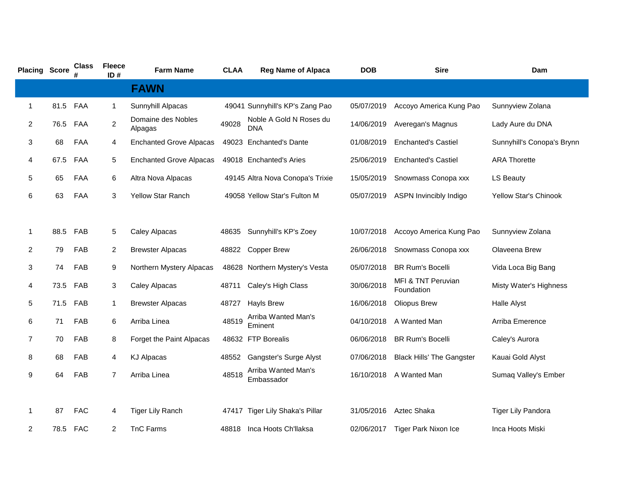| <b>Placing Score</b> |      | <b>Class</b> | <b>Fleece</b><br>ID# | <b>Farm Name</b>               | <b>CLAA</b> | <b>Reg Name of Alpaca</b>             | <b>DOB</b> | <b>Sire</b>                      | Dam                          |
|----------------------|------|--------------|----------------------|--------------------------------|-------------|---------------------------------------|------------|----------------------------------|------------------------------|
|                      |      |              |                      | <b>FAWN</b>                    |             |                                       |            |                                  |                              |
| 1                    | 81.5 | FAA          | $\mathbf{1}$         | Sunnyhill Alpacas              |             | 49041 Sunnyhill's KP's Zang Pao       | 05/07/2019 | Accoyo America Kung Pao          | Sunnyview Zolana             |
| $\overline{2}$       | 76.5 | FAA          | $\overline{c}$       | Domaine des Nobles<br>Alpagas  | 49028       | Noble A Gold N Roses du<br><b>DNA</b> | 14/06/2019 | Averegan's Magnus                | Lady Aure du DNA             |
| 3                    | 68   | FAA          | 4                    | <b>Enchanted Grove Alpacas</b> |             | 49023 Enchanted's Dante               | 01/08/2019 | <b>Enchanted's Castiel</b>       | Sunnyhill's Conopa's Brynn   |
| 4                    | 67.5 | FAA          | 5                    | <b>Enchanted Grove Alpacas</b> |             | 49018 Enchanted's Aries               | 25/06/2019 | <b>Enchanted's Castiel</b>       | <b>ARA Thorette</b>          |
| 5                    | 65   | FAA          | 6                    | Altra Nova Alpacas             |             | 49145 Altra Nova Conopa's Trixie      | 15/05/2019 | Snowmass Conopa xxx              | <b>LS Beauty</b>             |
| 6                    | 63   | FAA          | 3                    | <b>Yellow Star Ranch</b>       |             | 49058 Yellow Star's Fulton M          | 05/07/2019 | <b>ASPN Invincibly Indigo</b>    | <b>Yellow Star's Chinook</b> |
|                      |      |              |                      |                                |             |                                       |            |                                  |                              |
| 1                    | 88.5 | FAB          | 5                    | Caley Alpacas                  | 48635       | Sunnyhill's KP's Zoey                 | 10/07/2018 | Accoyo America Kung Pao          | Sunnyview Zolana             |
| $\overline{2}$       | 79   | FAB          | $\overline{2}$       | <b>Brewster Alpacas</b>        | 48822       | <b>Copper Brew</b>                    | 26/06/2018 | Snowmass Conopa xxx              | Olaveena Brew                |
| 3                    | 74   | FAB          | 9                    | Northern Mystery Alpacas       |             | 48628 Northern Mystery's Vesta        | 05/07/2018 | <b>BR Rum's Bocelli</b>          | Vida Loca Big Bang           |
| 4                    | 73.5 | FAB          | 3                    | Caley Alpacas                  | 48711       | Caley's High Class                    | 30/06/2018 | MFI & TNT Peruvian<br>Foundation | Misty Water's Highness       |
| 5                    | 71.5 | FAB          | $\mathbf{1}$         | <b>Brewster Alpacas</b>        | 48727       | <b>Hayls Brew</b>                     | 16/06/2018 | <b>Oliopus Brew</b>              | Halle Alyst                  |
| 6                    | 71   | FAB          | 6                    | Arriba Linea                   | 48519       | Arriba Wanted Man's<br>Eminent        | 04/10/2018 | A Wanted Man                     | Arriba Emerence              |
| $\overline{7}$       | 70   | FAB          | 8                    | Forget the Paint Alpacas       |             | 48632 FTP Borealis                    | 06/06/2018 | <b>BR Rum's Bocelli</b>          | Caley's Aurora               |
| 8                    | 68   | FAB          | 4                    | <b>KJ Alpacas</b>              | 48552       | Gangster's Surge Alyst                | 07/06/2018 | <b>Black Hills' The Gangster</b> | Kauai Gold Alyst             |
| 9                    | 64   | FAB          | $\overline{7}$       | Arriba Linea                   | 48518       | Arriba Wanted Man's<br>Embassador     | 16/10/2018 | A Wanted Man                     | Sumaq Valley's Ember         |
|                      |      |              |                      |                                |             |                                       |            |                                  |                              |
| 1                    | 87   | <b>FAC</b>   | 4                    | <b>Tiger Lily Ranch</b>        | 47417       | <b>Tiger Lily Shaka's Pillar</b>      | 31/05/2016 | Aztec Shaka                      | <b>Tiger Lily Pandora</b>    |
| $\overline{2}$       | 78.5 | <b>FAC</b>   | $\overline{2}$       | <b>TnC Farms</b>               | 48818       | Inca Hoots Ch'llaksa                  | 02/06/2017 | <b>Tiger Park Nixon Ice</b>      | Inca Hoots Miski             |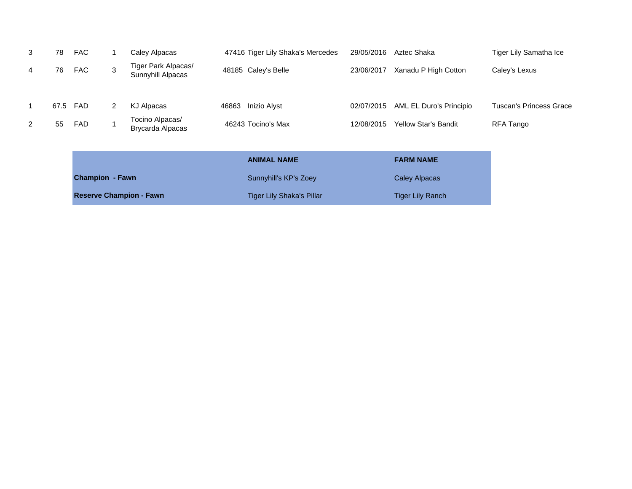|              |    | <b>Reserve Champion - Fawn</b> |   |                                          |                       | <b>Tiger Lily Shaka's Pillar</b>  |                      | <b>Tiger Lily Ranch</b>     |                                |
|--------------|----|--------------------------------|---|------------------------------------------|-----------------------|-----------------------------------|----------------------|-----------------------------|--------------------------------|
|              |    | <b>Champion - Fawn</b>         |   |                                          | Sunnyhill's KP's Zoey |                                   | <b>Caley Alpacas</b> |                             |                                |
|              |    |                                |   |                                          |                       | <b>ANIMAL NAME</b>                |                      | <b>FARM NAME</b>            |                                |
| 2            | 55 | FAD                            |   | <b>Brycarda Alpacas</b>                  |                       | 46243 Tocino's Max                | 12/08/2015           | <b>Yellow Star's Bandit</b> | RFA Tango                      |
|              |    |                                |   | Tocino Alpacas/                          |                       |                                   |                      |                             |                                |
| $\mathbf{1}$ |    | 67.5 FAD                       | 2 | KJ Alpacas                               | 46863                 | <b>Inizio Alyst</b>               | 02/07/2015           | AML EL Duro's Principio     | <b>Tuscan's Princess Grace</b> |
| 4            | 76 | <b>FAC</b>                     | 3 | Tiger Park Alpacas/<br>Sunnyhill Alpacas |                       | 48185 Caley's Belle               | 23/06/2017           | Xanadu P High Cotton        | Caley's Lexus                  |
|              |    |                                |   |                                          |                       |                                   |                      |                             |                                |
| 3            | 78 | FAC                            |   | Caley Alpacas                            |                       | 47416 Tiger Lily Shaka's Mercedes | 29/05/2016           | Aztec Shaka                 | Tiger Lily Samatha Ice         |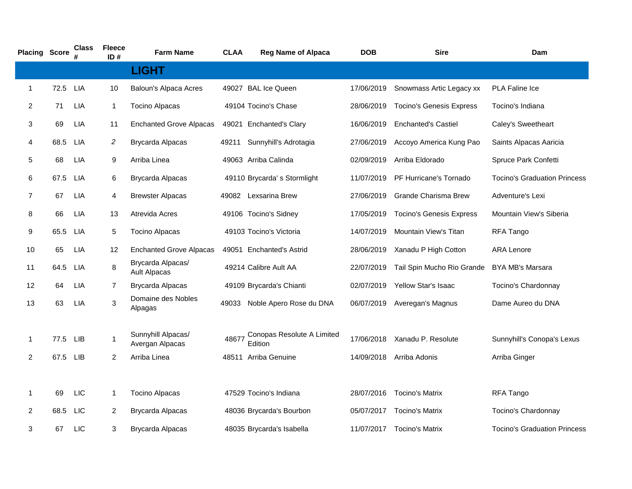| <b>Placing Score</b> |      | Class<br># | <b>Fleece</b><br>ID# | <b>Farm Name</b>                         | <b>CLAA</b> | <b>Reg Name of Alpaca</b>             | <b>DOB</b> | <b>Sire</b>                     | Dam                                 |
|----------------------|------|------------|----------------------|------------------------------------------|-------------|---------------------------------------|------------|---------------------------------|-------------------------------------|
|                      |      |            |                      | <b>LIGHT</b>                             |             |                                       |            |                                 |                                     |
| 1                    | 72.5 | <b>LIA</b> | 10                   | Baloun's Alpaca Acres                    |             | 49027 BAL Ice Queen                   | 17/06/2019 | Snowmass Artic Legacy xx        | <b>PLA Faline Ice</b>               |
| $\overline{2}$       | 71   | <b>LIA</b> | $\mathbf{1}$         | <b>Tocino Alpacas</b>                    |             | 49104 Tocino's Chase                  | 28/06/2019 | <b>Tocino's Genesis Express</b> | Tocino's Indiana                    |
| 3                    | 69   | <b>LIA</b> | 11                   | <b>Enchanted Grove Alpacas</b>           |             | 49021 Enchanted's Clary               | 16/06/2019 | <b>Enchanted's Castiel</b>      | Caley's Sweetheart                  |
| 4                    | 68.5 | <b>LIA</b> | 2                    | Brycarda Alpacas                         | 49211       | Sunnyhill's Adrotagia                 | 27/06/2019 | Accoyo America Kung Pao         | Saints Alpacas Aaricia              |
| 5                    | 68   | LIA        | 9                    | Arriba Linea                             |             | 49063 Arriba Calinda                  | 02/09/2019 | Arriba Eldorado                 | Spruce Park Confetti                |
| 6                    | 67.5 | <b>LIA</b> | $\,6$                | Brycarda Alpacas                         |             | 49110 Brycarda's Stormlight           | 11/07/2019 | <b>PF Hurricane's Tornado</b>   | <b>Tocino's Graduation Princess</b> |
| $\overline{7}$       | 67   | <b>LIA</b> | 4                    | <b>Brewster Alpacas</b>                  |             | 49082 Lexsarina Brew                  | 27/06/2019 | Grande Charisma Brew            | Adventure's Lexi                    |
| 8                    | 66   | <b>LIA</b> | 13                   | Atrevida Acres                           |             | 49106 Tocino's Sidney                 | 17/05/2019 | <b>Tocino's Genesis Express</b> | Mountain View's Siberia             |
| 9                    | 65.5 | LIA        | 5                    | <b>Tocino Alpacas</b>                    |             | 49103 Tocino's Victoria               | 14/07/2019 | Mountain View's Titan           | RFA Tango                           |
| 10                   | 65   | <b>LIA</b> | 12                   | <b>Enchanted Grove Alpacas</b>           |             | 49051 Enchanted's Astrid              | 28/06/2019 | Xanadu P High Cotton            | <b>ARA Lenore</b>                   |
| 11                   | 64.5 | LIA        | 8                    | Brycarda Alpacas/<br><b>Ault Alpacas</b> |             | 49214 Calibre Ault AA                 | 22/07/2019 | Tail Spin Mucho Rio Grande      | BYA MB's Marsara                    |
| 12                   | 64   | <b>LIA</b> | $\overline{7}$       | <b>Brycarda Alpacas</b>                  |             | 49109 Brycarda's Chianti              | 02/07/2019 | Yellow Star's Isaac             | Tocino's Chardonnay                 |
| 13                   | 63   | <b>LIA</b> | 3                    | Domaine des Nobles<br>Alpagas            | 49033       | Noble Apero Rose du DNA               | 06/07/2019 | Averegan's Magnus               | Dame Aureo du DNA                   |
| 1                    | 77.5 | LIB        | $\mathbf 1$          | Sunnyhill Alpacas/<br>Avergan Alpacas    | 48677       | Conopas Resolute A Limited<br>Edition | 17/06/2018 | Xanadu P. Resolute              | Sunnyhill's Conopa's Lexus          |
| $\overline{2}$       | 67.5 | <b>LIB</b> | 2                    | Arriba Linea                             |             | 48511 Arriba Genuine                  | 14/09/2018 | Arriba Adonis                   | Arriba Ginger                       |
|                      |      |            |                      |                                          |             |                                       |            |                                 |                                     |
| 1                    | 69   | <b>LIC</b> | $\mathbf{1}$         | <b>Tocino Alpacas</b>                    |             | 47529 Tocino's Indiana                | 28/07/2016 | <b>Tocino's Matrix</b>          | RFA Tango                           |
| $\overline{2}$       | 68.5 | <b>LIC</b> | $\overline{2}$       | <b>Brycarda Alpacas</b>                  |             | 48036 Brycarda's Bourbon              | 05/07/2017 | <b>Tocino's Matrix</b>          | Tocino's Chardonnay                 |
| 3                    | 67   | <b>LIC</b> | 3                    | Brycarda Alpacas                         |             | 48035 Brycarda's Isabella             | 11/07/2017 | Tocino's Matrix                 | <b>Tocino's Graduation Princess</b> |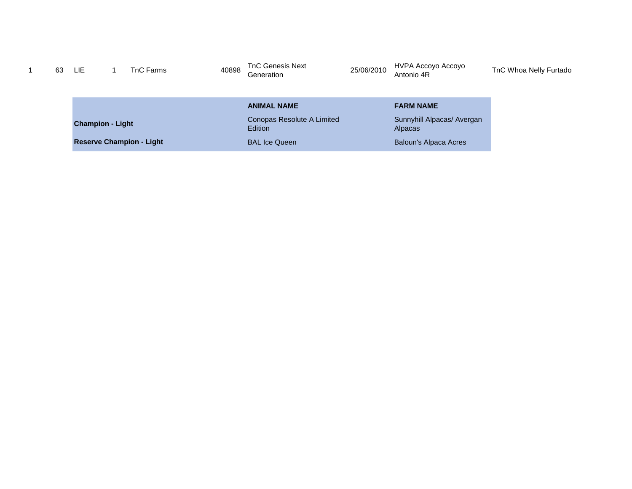| 63 | LIE.                    | TnC Farms                       | 40898 | <b>TnC Genesis Next</b><br>Generation | 25/06/2010 | HVPA Accoyo Accoyo<br>Antonio 4R             | TnC Whoa Nelly Furtado |
|----|-------------------------|---------------------------------|-------|---------------------------------------|------------|----------------------------------------------|------------------------|
|    |                         |                                 |       | <b>ANIMAL NAME</b>                    |            | <b>FARM NAME</b>                             |                        |
|    | <b>Champion - Light</b> |                                 |       | Conopas Resolute A Limited<br>Edition |            | Sunnyhill Alpacas/ Avergan<br><b>Alpacas</b> |                        |
|    |                         | <b>Reserve Champion - Light</b> |       | <b>BAL Ice Queen</b>                  |            | <b>Baloun's Alpaca Acres</b>                 |                        |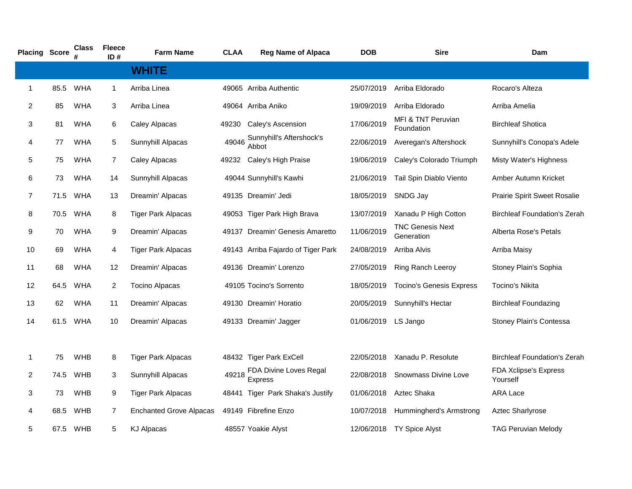| <b>Placing Score</b> |      | <b>Class</b> | <b>Fleece</b><br>ID# | <b>Farm Name</b>               | <b>CLAA</b> | <b>Reg Name of Alpaca</b>                | <b>DOB</b>          | <b>Sire</b>                           | Dam                                      |
|----------------------|------|--------------|----------------------|--------------------------------|-------------|------------------------------------------|---------------------|---------------------------------------|------------------------------------------|
|                      |      |              |                      | <b>WHITE</b>                   |             |                                          |                     |                                       |                                          |
| $\mathbf{1}$         | 85.5 | <b>WHA</b>   | $\mathbf{1}$         | Arriba Linea                   |             | 49065 Arriba Authentic                   | 25/07/2019          | Arriba Eldorado                       | Rocaro's Alteza                          |
| $\overline{2}$       | 85   | <b>WHA</b>   | 3                    | Arriba Linea                   |             | 49064 Arriba Aniko                       | 19/09/2019          | Arriba Eldorado                       | Arriba Amelia                            |
| 3                    | 81   | <b>WHA</b>   | 6                    | Caley Alpacas                  |             | 49230 Caley's Ascension                  | 17/06/2019          | MFI & TNT Peruvian<br>Foundation      | <b>Birchleaf Shotica</b>                 |
| 4                    | 77   | <b>WHA</b>   | 5                    | Sunnyhill Alpacas              | 49046       | Sunnyhill's Aftershock's<br>Abbot        | 22/06/2019          | Averegan's Aftershock                 | Sunnyhill's Conopa's Adele               |
| 5                    | 75   | <b>WHA</b>   | 7                    | Caley Alpacas                  |             | 49232 Caley's High Praise                | 19/06/2019          | Caley's Colorado Triumph              | Misty Water's Highness                   |
| 6                    | 73   | <b>WHA</b>   | 14                   | Sunnyhill Alpacas              |             | 49044 Sunnyhill's Kawhi                  | 21/06/2019          | Tail Spin Diablo Viento               | Amber Autumn Kricket                     |
| $\overline{7}$       | 71.5 | <b>WHA</b>   | 13                   | Dreamin' Alpacas               |             | 49135 Dreamin' Jedi                      | 18/05/2019          | SNDG Jay                              | Prairie Spirit Sweet Rosalie             |
| 8                    | 70.5 | WHA          | 8                    | <b>Tiger Park Alpacas</b>      |             | 49053 Tiger Park High Brava              | 13/07/2019          | Xanadu P High Cotton                  | <b>Birchleaf Foundation's Zerah</b>      |
| 9                    | 70   | <b>WHA</b>   | 9                    | Dreamin' Alpacas               |             | 49137 Dreamin' Genesis Amaretto          | 11/06/2019          | <b>TNC Genesis Next</b><br>Generation | Alberta Rose's Petals                    |
| 10                   | 69   | <b>WHA</b>   | 4                    | <b>Tiger Park Alpacas</b>      |             | 49143 Arriba Fajardo of Tiger Park       | 24/08/2019          | Arriba Alvis                          | Arriba Maisy                             |
| 11                   | 68   | <b>WHA</b>   | 12                   | Dreamin' Alpacas               |             | 49136 Dreamin' Lorenzo                   | 27/05/2019          | Ring Ranch Leeroy                     | Stoney Plain's Sophia                    |
| 12                   | 64.5 | <b>WHA</b>   | 2                    | <b>Tocino Alpacas</b>          |             | 49105 Tocino's Sorrento                  | 18/05/2019          | <b>Tocino's Genesis Express</b>       | Tocino's Nikita                          |
| 13                   | 62   | <b>WHA</b>   | 11                   | Dreamin' Alpacas               |             | 49130 Dreamin' Horatio                   | 20/05/2019          | Sunnyhill's Hectar                    | <b>Birchleaf Foundazing</b>              |
| 14                   | 61.5 | WHA          | 10                   | Dreamin' Alpacas               |             | 49133 Dreamin' Jagger                    | 01/06/2019 LS Jango |                                       | Stoney Plain's Contessa                  |
|                      |      |              |                      |                                |             |                                          |                     |                                       |                                          |
| $\mathbf{1}$         | 75   | <b>WHB</b>   | 8                    | <b>Tiger Park Alpacas</b>      |             | 48432 Tiger Park ExCell                  | 22/05/2018          | Xanadu P. Resolute                    | <b>Birchleaf Foundation's Zerah</b>      |
| 2                    | 74.5 | WHB          | 3                    | Sunnyhill Alpacas              | 49218       | FDA Divine Loves Regal<br><b>Express</b> | 22/08/2018          | Snowmass Divine Love                  | <b>FDA Xclipse's Express</b><br>Yourself |
| 3                    | 73   | <b>WHB</b>   | 9                    | <b>Tiger Park Alpacas</b>      |             | 48441 Tiger Park Shaka's Justify         | 01/06/2018          | Aztec Shaka                           | <b>ARA Lace</b>                          |
| 4                    | 68.5 | WHB          | $\overline{7}$       | <b>Enchanted Grove Alpacas</b> |             | 49149 Fibrefine Enzo                     | 10/07/2018          | Hummingherd's Armstrong               | Aztec Sharlyrose                         |
| 5                    | 67.5 | WHB          | 5                    | <b>KJ Alpacas</b>              |             | 48557 Yoakie Alyst                       |                     | 12/06/2018 TY Spice Alyst             | <b>TAG Peruvian Melody</b>               |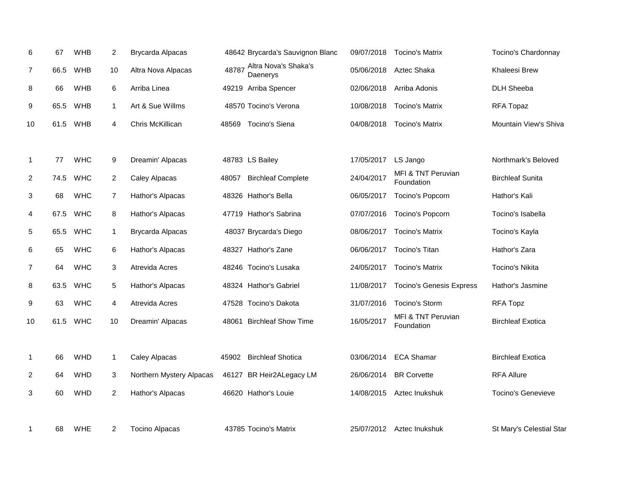| 6              | 67   | <b>WHB</b> | $\overline{2}$ | Brycarda Alpacas         |       | 48642 Brycarda's Sauvignon Blanc | 09/07/2018 | <b>Tocino's Matrix</b>           | Tocino's Chardonnay      |
|----------------|------|------------|----------------|--------------------------|-------|----------------------------------|------------|----------------------------------|--------------------------|
| 7              | 66.5 | <b>WHB</b> | 10             | Altra Nova Alpacas       | 48787 | Altra Nova's Shaka's<br>Daenerys | 05/06/2018 | Aztec Shaka                      | Khaleesi Brew            |
| 8              | 66   | <b>WHB</b> | 6              | Arriba Linea             |       | 49219 Arriba Spencer             | 02/06/2018 | Arriba Adonis                    | <b>DLH Sheeba</b>        |
| 9              | 65.5 | <b>WHB</b> | $\mathbf{1}$   | Art & Sue Willms         |       | 48570 Tocino's Verona            | 10/08/2018 | <b>Tocino's Matrix</b>           | RFA Topaz                |
| 10             | 61.5 | <b>WHB</b> | 4              | Chris McKillican         | 48569 | Tocino's Siena                   | 04/08/2018 | <b>Tocino's Matrix</b>           | Mountain View's Shiva    |
|                |      |            |                |                          |       |                                  |            |                                  |                          |
| $\mathbf{1}$   | 77   | <b>WHC</b> | 9              | Dreamin' Alpacas         |       | 48783 LS Bailey                  | 17/05/2017 | LS Jango                         | Northmark's Beloved      |
| 2              | 74.5 | <b>WHC</b> | $\overline{2}$ | Caley Alpacas            | 48057 | <b>Birchleaf Complete</b>        | 24/04/2017 | MFI & TNT Peruvian<br>Foundation | <b>Birchleaf Sunita</b>  |
| 3              | 68   | <b>WHC</b> | 7              | Hathor's Alpacas         |       | 48326 Hathor's Bella             | 06/05/2017 | Tocino's Popcorn                 | Hathor's Kali            |
| 4              | 67.5 | <b>WHC</b> | 8              | Hathor's Alpacas         |       | 47719 Hathor's Sabrina           | 07/07/2016 | Tocino's Popcorn                 | Tocino's Isabella        |
| 5              | 65.5 | <b>WHC</b> | $\mathbf{1}$   | <b>Brycarda Alpacas</b>  |       | 48037 Brycarda's Diego           | 08/06/2017 | <b>Tocino's Matrix</b>           | Tocino's Kayla           |
| 6              | 65   | <b>WHC</b> | 6              | Hathor's Alpacas         |       | 48327 Hathor's Zane              | 06/06/2017 | Tocino's Titan                   | Hathor's Zara            |
| $\overline{7}$ | 64   | <b>WHC</b> | 3              | Atrevida Acres           |       | 48246 Tocino's Lusaka            | 24/05/2017 | <b>Tocino's Matrix</b>           | Tocino's Nikita          |
| 8              | 63.5 | <b>WHC</b> | $\mathbf 5$    | Hathor's Alpacas         |       | 48324 Hathor's Gabriel           | 11/08/2017 | <b>Tocino's Genesis Express</b>  | Hathor's Jasmine         |
| 9              | 63   | <b>WHC</b> | 4              | Atrevida Acres           |       | 47528 Tocino's Dakota            | 31/07/2016 | Tocino's Storm                   | RFA Topz                 |
| 10             | 61.5 | <b>WHC</b> | 10             | Dreamin' Alpacas         |       | 48061 Birchleaf Show Time        | 16/05/2017 | MFI & TNT Peruvian<br>Foundation | <b>Birchleaf Exotica</b> |
|                |      |            |                |                          |       |                                  |            |                                  |                          |
| $\mathbf{1}$   | 66   | WHD        | $\mathbf{1}$   | Caley Alpacas            | 45902 | <b>Birchleaf Shotica</b>         | 03/06/2014 | <b>ECA Shamar</b>                | <b>Birchleaf Exotica</b> |
| 2              | 64   | WHD        | 3              | Northern Mystery Alpacas |       | 46127 BR Heir2ALegacy LM         | 26/06/2014 | <b>BR</b> Corvette               | <b>RFA Allure</b>        |
| 3              | 60   | WHD        | $\overline{c}$ | Hathor's Alpacas         |       | 46620 Hathor's Louie             | 14/08/2015 | Aztec Inukshuk                   | Tocino's Genevieve       |
|                |      |            |                |                          |       |                                  |            |                                  |                          |
| 1              | 68   | <b>WHE</b> | $\overline{2}$ | <b>Tocino Alpacas</b>    |       | 43785 Tocino's Matrix            |            | 25/07/2012 Aztec Inukshuk        | St Mary's Celestial Star |